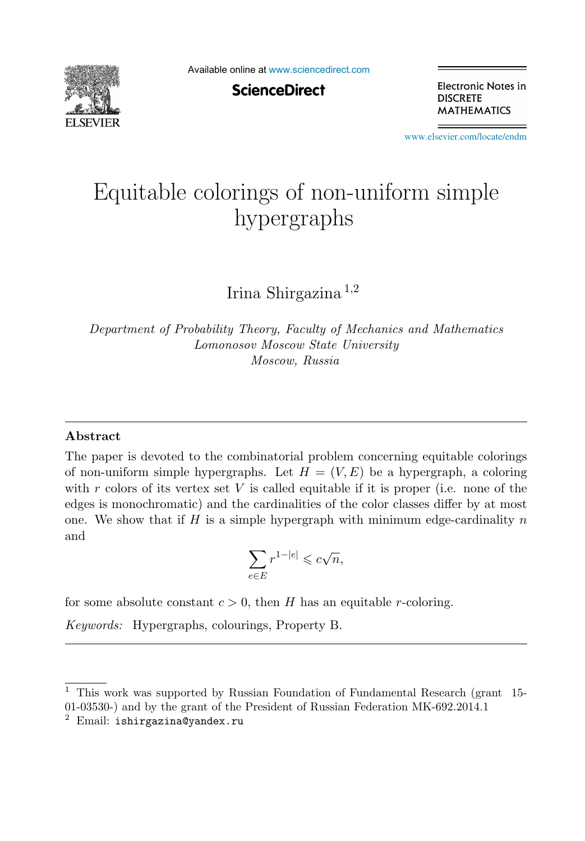

Available online at [www.sciencedirect.com](http://www.sciencedirect.com)

**ScienceDirect** 

Electronic Notes in **DISCRETE MATHEMATICS** 

[www.elsevier.com/locate/endm](http://www.elsevier.com/locate/endm)

# Equitable colorings of non-uniform simple  $\sqrt{1}$   $\sqrt{1}$

Irina Shirgazina <sup>1</sup>,<sup>2</sup>

*Department of Probability Theory, Faculty of Mechanics and Mathematics Lomonosov Moscow State University Moscow, Russia*

#### **Abstract**

The paper is devoted to the combinatorial problem concerning equitable colorings of non-uniform simple hypergraphs. Let  $H = (V, E)$  be a hypergraph, a coloring with r colors of its vertex set V is called equitable if it is proper (i.e. none of the edges is monochromatic) and the cardinalities of the color classes differ by at most one. We show that if H is a simple hypergraph with minimum edge-cardinality  $n$ and

$$
\sum_{e \in E} r^{1-|e|} \leqslant c\sqrt{n},
$$

for some absolute constant  $c > 0$ , then H has an equitable r-coloring.

*Keywords:* Hypergraphs, colourings, Property B.

<sup>1</sup> This work was supported by Russian Foundation of Fundamental Research (grant 15- 01-03530-) and by the grant of the President of Russian Federation MK-692.2014.1

 $2$  Email: ishirgazina@yandex.ru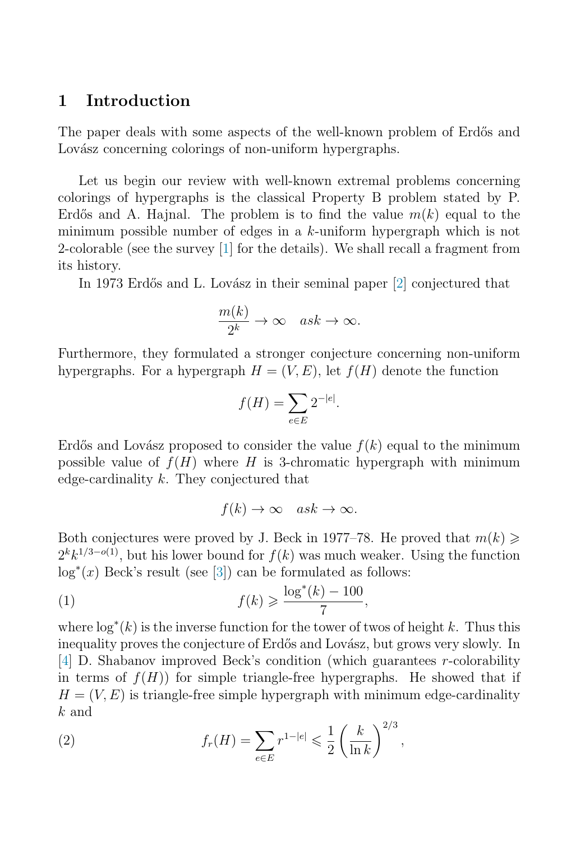### **1 Introduction**

The paper deals with some aspects of the well-known problem of Erdős and Lovász concerning colorings of non-uniform hypergraphs.

Let us begin our review with well-known extremal problems concerning colorings of hypergraphs is the classical Property B problem stated by P. Erdős and A. Hajnal. The problem is to find the value  $m(k)$  equal to the minimum possible number of edges in a k-uniform hypergraph which is not 2-colorable (see the survey [\[1\]](#page-4-0) for the details). We shall recall a fragment from its history.

In 1973 Erdős and L. Lovász in their seminal paper [\[2\]](#page-4-0) conjectured that

$$
\frac{m(k)}{2^k} \to \infty \quad ask \to \infty.
$$

Furthermore, they formulated a stronger conjecture concerning non-uniform hypergraphs. For a hypergraph  $H = (V, E)$ , let  $f(H)$  denote the function

$$
f(H) = \sum_{e \in E} 2^{-|e|}.
$$

Erdős and Lovász proposed to consider the value  $f(k)$  equal to the minimum possible value of  $f(H)$  where H is 3-chromatic hypergraph with minimum edge-cardinality k. They conjectured that

 $f(k) \to \infty \quad ask \to \infty.$ 

Both conjectures were proved by J. Beck in 1977–78. He proved that  $m(k) \geq$  $2^{k}k^{1/3-o(1)}$ , but his lower bound for  $f(k)$  was much weaker. Using the function log<sup>\*</sup>(*x*) Beck's result (see [\[3\]](#page-4-0)) can be formulated as follows:

$$
(1) \t\t f(k) \geqslant \frac{\log^*(k) - 100}{7},
$$

where  $\log^*(k)$  is the inverse function for the tower of twos of height k. Thus this<br>inequality proves the conjecture of Erdős and Lovász, but grows yery slowly. In inequality proves the conjecture of Erdős and Lovász, but grows very slowly. In [\[4\]](#page-4-0) D. Shabanov improved Beck's condition (which guarantees r-colorability in terms of  $f(H)$  for simple triangle-free hypergraphs. He showed that if  $H = (V, E)$  is triangle-free simple hypergraph with minimum edge-cardinality  $\boldsymbol{k}$  and  $0/2$ 

(2) 
$$
f_r(H) = \sum_{e \in E} r^{1-|e|} \leq \frac{1}{2} \left( \frac{k}{\ln k} \right)^{2/3},
$$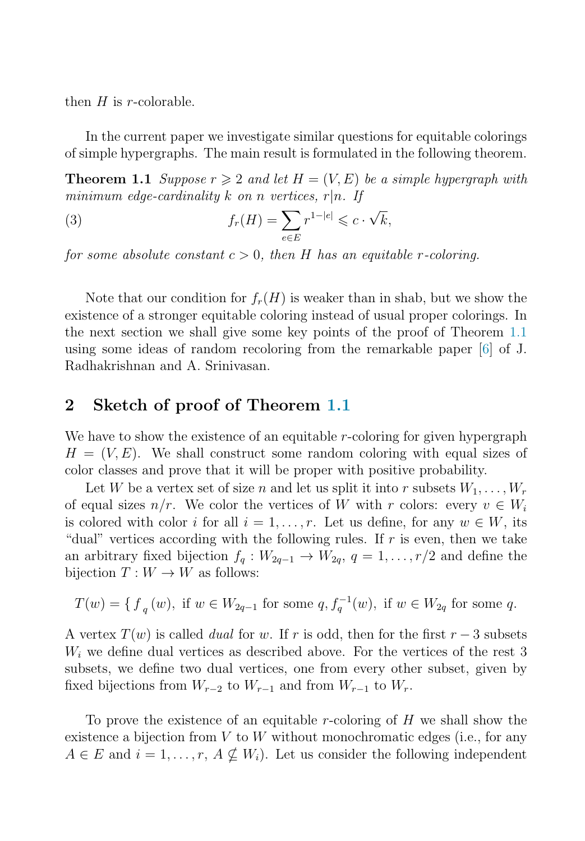then  $H$  is r-colorable.

In the current paper we investigate similar questions for equitable colorings of simple hypergraphs. The main result is formulated in the following theorem.

**Theorem 1.1** Suppose  $r \geqslant 2$  and let  $H = (V, E)$  be a simple hypergraph with minimum edge-cardinality k on n vertices,  $r|n$ . If

(3) 
$$
f_r(H) = \sum_{e \in E} r^{1-|e|} \leqslant c \cdot \sqrt{k},
$$

for some absolute constant  $c > 0$ , then H has an equitable r-coloring.

Note that our condition for  $f_r(H)$  is weaker than in shab, but we show the existence of a stronger equitable coloring instead of usual proper colorings. In the next section we shall give some key points of the proof of Theorem 1.1 using some ideas of random recoloring from the remarkable paper [\[6\]](#page-4-0) of J. Radhakrishnan and A. Srinivasan.

#### **2 Sketch of proof of Theorem 1.1**

We have to show the existence of an equitable r-coloring for given hypergraph  $H = (V, E)$ . We shall construct some random coloring with equal sizes of color classes and prove that it will be proper with positive probability.

Let W be a vertex set of size n and let us split it into r subsets  $W_1, \ldots, W_r$ of equal sizes  $n/r$ . We color the vertices of W with r colors: every  $v \in W_i$ is colored with color i for all  $i = 1, \ldots, r$ . Let us define, for any  $w \in W$ , its "dual" vertices according with the following rules. If  $r$  is even, then we take an arbitrary fixed bijection  $f_q: W_{2q-1} \to W_{2q}, q = 1, \ldots, r/2$  and define the bijection  $T: W \to W$  as follows:

$$
T(w) = \{ f_q(w), \text{ if } w \in W_{2q-1} \text{ for some } q, f_q^{-1}(w), \text{ if } w \in W_{2q} \text{ for some } q \}
$$

A vertex  $T(w)$  is called *dual* for w. If r is odd, then for the first  $r-3$  subsets  $W_i$  we define dual vertices as described above. For the vertices of the rest 3 subsets, we define two dual vertices, one from every other subset, given by fixed bijections from  $W_{r-2}$  to  $W_{r-1}$  and from  $W_{r-1}$  to  $W_r$ .

To prove the existence of an equitable r-coloring of  $H$  we shall show the existence a bijection from  $V$  to  $W$  without monochromatic edges (i.e., for any  $A \in E$  and  $i = 1, \ldots, r, A \nsubseteq W_i$ . Let us consider the following independent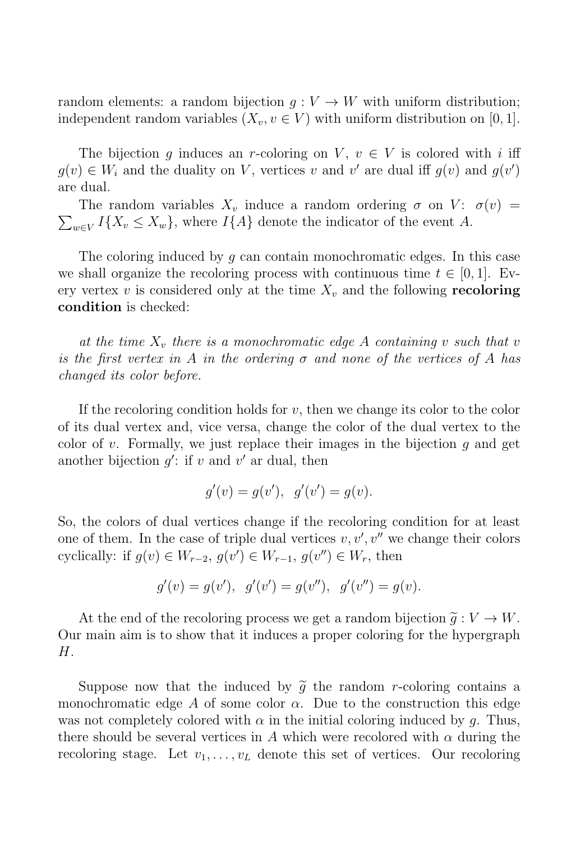random elements: a random bijection  $q: V \to W$  with uniform distribution; independent random variables  $(X_v, v \in V)$  with uniform distribution on [0, 1].

The bijection q induces an r-coloring on V,  $v \in V$  is colored with i iff  $g(v) \in W_i$  and the duality on V, vertices v and v' are dual iff  $g(v)$  and  $g(v')$ <br>are dual are dual.

 $\sum_{w \in V} I\{X_v \leq X_w\}$ , where  $I\{A\}$  denote the indicator of the event A. The random variables  $X_v$  induce a random ordering  $\sigma$  on  $V: \sigma(v) =$ 

The coloring induced by q can contain monochromatic edges. In this case we shall organize the recoloring process with continuous time  $t \in [0, 1]$ . Every vertex v is considered only at the time  $X_v$  and the following **recoloring condition** is checked:

at the time  $X_v$  there is a monochromatic edge A containing v such that v is the first vertex in A in the ordering  $\sigma$  and none of the vertices of A has changed its color before.

If the recoloring condition holds for  $v$ , then we change its color to the color of its dual vertex and, vice versa, change the color of the dual vertex to the color of v. Formally, we just replace their images in the bijection  $q$  and get another bijection  $g'$ : if v and v' ar dual, then

$$
g'(v) = g(v'), g'(v') = g(v).
$$

So, the colors of dual vertices change if the recoloring condition for at least one of them. In the case of triple dual vertices  $v, v', v''$  we change their colors exclicially: if  $g(v) \in W$ ,  $g(v') \in W$ ,  $g(v'') \in W$ , then cyclically: if  $g(v) \in W_{r-2}$ ,  $g(v') \in W_{r-1}$ ,  $g(v'') \in W_r$ , then

$$
g'(v) = g(v'), g'(v') = g(v''), g'(v'') = g(v).
$$

At the end of the recoloring process we get a random bijection  $\tilde{q}: V \to W$ . Our main aim is to show that it induces a proper coloring for the hypergraph  $H<sub>1</sub>$ 

Suppose now that the induced by  $\tilde{q}$  the random r-coloring contains a monochromatic edge A of some color  $\alpha$ . Due to the construction this edge was not completely colored with  $\alpha$  in the initial coloring induced by q. Thus, there should be several vertices in A which were recolored with  $\alpha$  during the recoloring stage. Let  $v_1, \ldots, v_L$  denote this set of vertices. Our recoloring